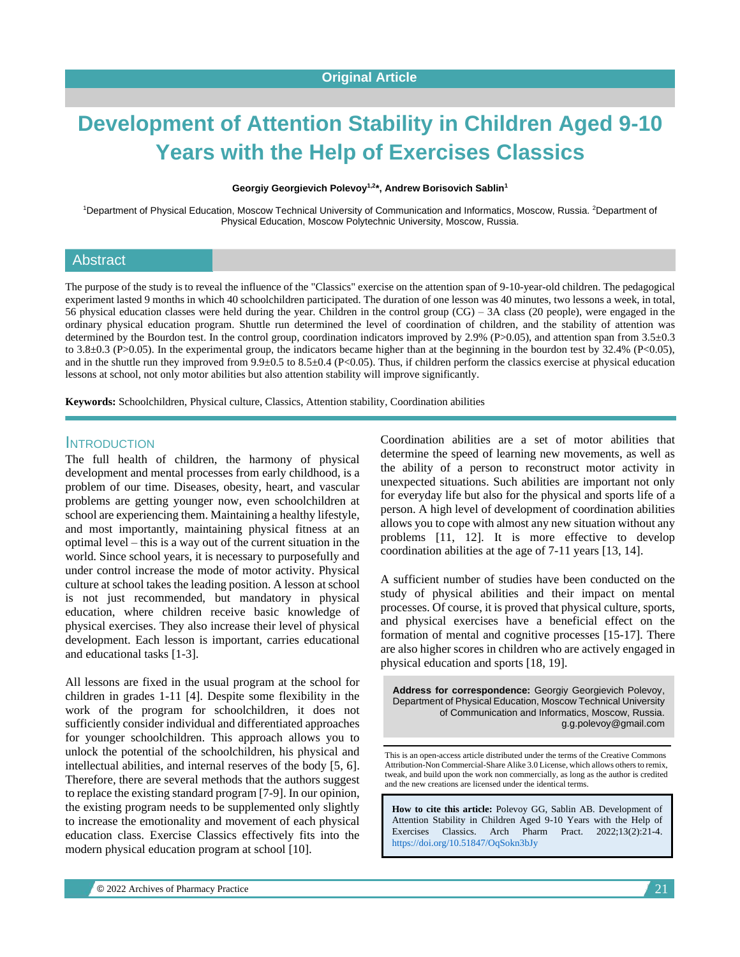# **Development of Attention Stability in Children Aged 9-10 Years with the Help of Exercises Classics**

**Georgiy Georgievich Polevoy1,2 \*, Andrew Borisovich Sablin<sup>1</sup>**

<sup>1</sup>Department of Physical Education, Moscow Technical University of Communication and Informatics, Moscow, Russia. <sup>2</sup>Department of Physical Education, Moscow Polytechnic University, Moscow, Russia.

#### Abstract

The purpose of the study is to reveal the influence of the "Classics" exercise on the attention span of 9-10-year-old children. The pedagogical experiment lasted 9 months in which 40 schoolchildren participated. The duration of one lesson was 40 minutes, two lessons a week, in total, 56 physical education classes were held during the year. Children in the control group (CG) – 3A class (20 people), were engaged in the ordinary physical education program. Shuttle run determined the level of coordination of children, and the stability of attention was determined by the Bourdon test. In the control group, coordination indicators improved by 2.9% (P>0.05), and attention span from 3.5±0.3 to 3.8 $\pm$ 0.3 (P>0.05). In the experimental group, the indicators became higher than at the beginning in the bourdon test by 32.4% (P<0.05), and in the shuttle run they improved from  $9.9 \pm 0.5$  to  $8.5 \pm 0.4$  (P<0.05). Thus, if children perform the classics exercise at physical education lessons at school, not only motor abilities but also attention stability will improve significantly.

**Keywords:** Schoolchildren, Physical culture, Classics, Attention stability, Coordination abilities

#### **INTRODUCTION**

The full health of children, the harmony of physical development and mental processes from early childhood, is a problem of our time. Diseases, obesity, heart, and vascular problems are getting younger now, even schoolchildren at school are experiencing them. Maintaining a healthy lifestyle, and most importantly, maintaining physical fitness at an optimal level – this is a way out of the current situation in the world. Since school years, it is necessary to purposefully and under control increase the mode of motor activity. Physical culture at school takes the leading position. A lesson at school is not just recommended, but mandatory in physical education, where children receive basic knowledge of physical exercises. They also increase their level of physical development. Each lesson is important, carries educational and educational tasks [1-3].

All lessons are fixed in the usual program at the school for children in grades 1-11 [4]. Despite some flexibility in the work of the program for schoolchildren, it does not sufficiently consider individual and differentiated approaches for younger schoolchildren. This approach allows you to unlock the potential of the schoolchildren, his physical and intellectual abilities, and internal reserves of the body [5, 6]. Therefore, there are several methods that the authors suggest to replace the existing standard program [7-9]. In our opinion, the existing program needs to be supplemented only slightly to increase the emotionality and movement of each physical education class. Exercise Classics effectively fits into the modern physical education program at school [10].

Coordination abilities are a set of motor abilities that determine the speed of learning new movements, as well as the ability of a person to reconstruct motor activity in unexpected situations. Such abilities are important not only for everyday life but also for the physical and sports life of a person. A high level of development of coordination abilities allows you to cope with almost any new situation without any problems [11, 12]. It is more effective to develop coordination abilities at the age of 7-11 years [13, 14].

A sufficient number of studies have been conducted on the study of physical abilities and their impact on mental processes. Of course, it is proved that physical culture, sports, and physical exercises have a beneficial effect on the formation of mental and cognitive processes [15-17]. There are also higher scores in children who are actively engaged in physical education and sports [18, 19].

**Address for correspondence:** Georgiy Georgievich Polevoy, Department of Physical Education, Moscow Technical University of Communication and Informatics, Moscow, Russia. g.g.polevoy@gmail.com

This is an open-access article distributed under the terms of the Creative Commons Attribution-Non Commercial-Share Alike 3.0 License, which allows others to remix, tweak, and build upon the work non commercially, as long as the author is credited and the new creations are licensed under the identical terms.

**How to cite this article:** Polevoy GG, Sablin AB*.* Development of Attention Stability in Children Aged 9-10 Years with the Help of Exercises Classics. Arch Pharm Pract. 2022;13(2):21-4. <https://doi.org/10.51847/OqSokn3bJy>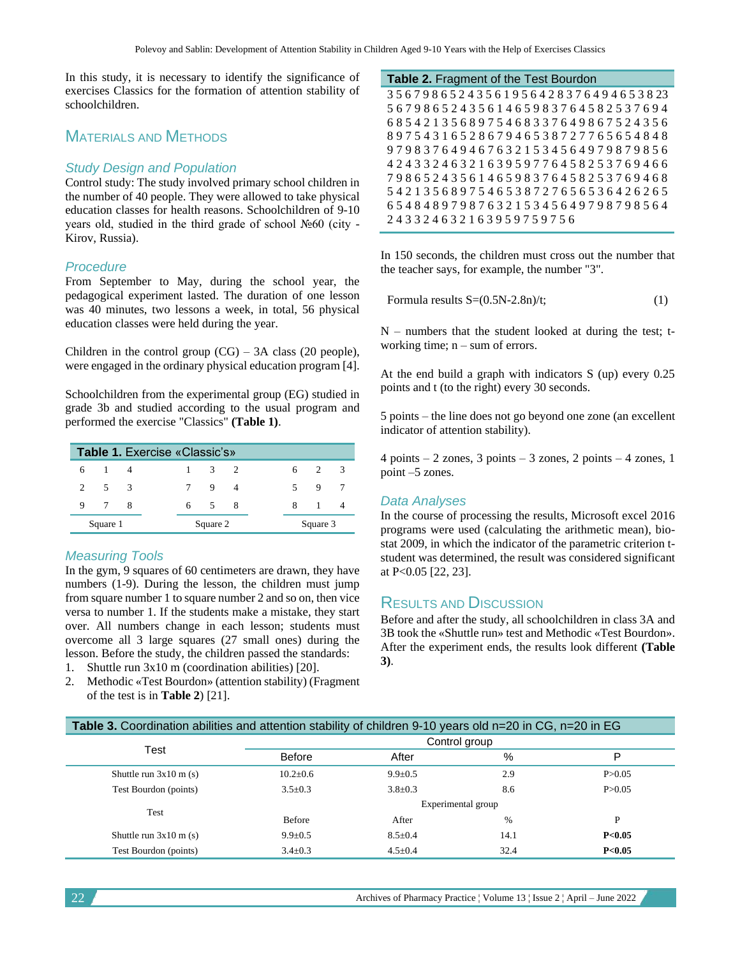In this study, it is necessary to identify the significance of exercises Classics for the formation of attention stability of schoolchildren.

# MATERIALS AND METHODS

#### *Study Design and Population*

Control study: The study involved primary school children in the number of 40 people. They were allowed to take physical education classes for health reasons. Schoolchildren of 9-10 years old, studied in the third grade of school №60 (city - Kirov, Russia).

#### *Procedure*

From September to May, during the school year, the pedagogical experiment lasted. The duration of one lesson was 40 minutes, two lessons a week, in total, 56 physical education classes were held during the year.

Children in the control group  $(CG)$  – 3A class (20 people), were engaged in the ordinary physical education program [4].

Schoolchildren from the experimental group (EG) studied in grade 3b and studied according to the usual program and performed the exercise "Classics" **(Table 1)**.

| Table 1. Exercise «Classic's» |           |  |  |          |       |  |  |          |              |  |  |
|-------------------------------|-----------|--|--|----------|-------|--|--|----------|--------------|--|--|
|                               | 6 1       |  |  |          | 3 2   |  |  |          | 6 $2 \t3$    |  |  |
|                               | 2 $5 \t3$ |  |  |          | 7 9   |  |  |          | 5 9          |  |  |
| 9                             | 7 8       |  |  |          | 6 5 8 |  |  |          | $\mathbf{1}$ |  |  |
|                               | Square 1  |  |  | Square 2 |       |  |  | Square 3 |              |  |  |

#### *Measuring Tools*

In the gym, 9 squares of 60 centimeters are drawn, they have numbers (1-9). During the lesson, the children must jump from square number 1 to square number 2 and so on, then vice versa to number 1. If the students make a mistake, they start over. All numbers change in each lesson; students must overcome all 3 large squares (27 small ones) during the lesson. Before the study, the children passed the standards:

- 1. Shuttle run 3x10 m (coordination abilities) [20].
- 2. Methodic «Test Bourdon» (attention stability) (Fragment of the test is in **Table 2**) [21].

| Table 2. Fragment of the Test Bourdon |  |  |  |  |  |  |  |
|---------------------------------------|--|--|--|--|--|--|--|
| 35679865243561956428376494653823      |  |  |  |  |  |  |  |
| 5679865243561465983764582537694       |  |  |  |  |  |  |  |
| 6854213568975468337649867524356       |  |  |  |  |  |  |  |
| 8975431652867946538727765654848       |  |  |  |  |  |  |  |
| 9798376494676321534564979879856       |  |  |  |  |  |  |  |
| 4243324632163959776458253769466       |  |  |  |  |  |  |  |
| 7986524356146598376458253769468       |  |  |  |  |  |  |  |
| 5421356897546538727656536426265       |  |  |  |  |  |  |  |
| 6548489798763215345649798798564       |  |  |  |  |  |  |  |
| 243324632163959759756                 |  |  |  |  |  |  |  |

In 150 seconds, the children must cross out the number that the teacher says, for example, the number "3".

Formula results 
$$
S=(0.5N-2.8n)/t
$$
;\n
$$
(1)
$$

 $N$  – numbers that the student looked at during the test; tworking time;  $n - sum$  of errors.

At the end build a graph with indicators S (up) every 0.25 points and t (to the right) every 30 seconds.

5 points – the line does not go beyond one zone (an excellent indicator of attention stability).

4 points – 2 zones, 3 points – 3 zones, 2 points – 4 zones, 1 point –5 zones.

#### *Data Analyses*

In the course of processing the results, Microsoft excel 2016 programs were used (calculating the arithmetic mean), biostat 2009, in which the indicator of the parametric criterion tstudent was determined, the result was considered significant at P<0.05 [22, 23].

### **RESULTS AND DISCUSSION**

Before and after the study, all schoolchildren in class 3A and 3B took the «Shuttle run» test and Methodic «Test Bourdon». After the experiment ends, the results look different **(Table 3)**.

| Table 3. Coordination abilities and attention stability of children 9-10 years old n=20 in CG, n=20 in EG |                    |               |               |          |  |  |  |  |
|-----------------------------------------------------------------------------------------------------------|--------------------|---------------|---------------|----------|--|--|--|--|
|                                                                                                           | Control group      |               |               |          |  |  |  |  |
| Test                                                                                                      | <b>Before</b>      | After         | %             | P        |  |  |  |  |
| Shuttle run $3x10$ m (s)                                                                                  | $10.2 \pm 0.6$     | $9.9 \pm 0.5$ | 2.9           | P > 0.05 |  |  |  |  |
| Test Bourdon (points)                                                                                     | $3.5 \pm 0.3$      | $3.8 \pm 0.3$ | 8.6           | P > 0.05 |  |  |  |  |
| Test                                                                                                      | Experimental group |               |               |          |  |  |  |  |
|                                                                                                           | <b>Before</b>      | After         | $\frac{0}{6}$ | P        |  |  |  |  |
| Shuttle run $3x10$ m (s)                                                                                  | $9.9 \pm 0.5$      | $8.5 \pm 0.4$ | 14.1          | P<0.05   |  |  |  |  |
| Test Bourdon (points)                                                                                     | $3.4 \pm 0.3$      | $4.5 \pm 0.4$ | 32.4          | P<0.05   |  |  |  |  |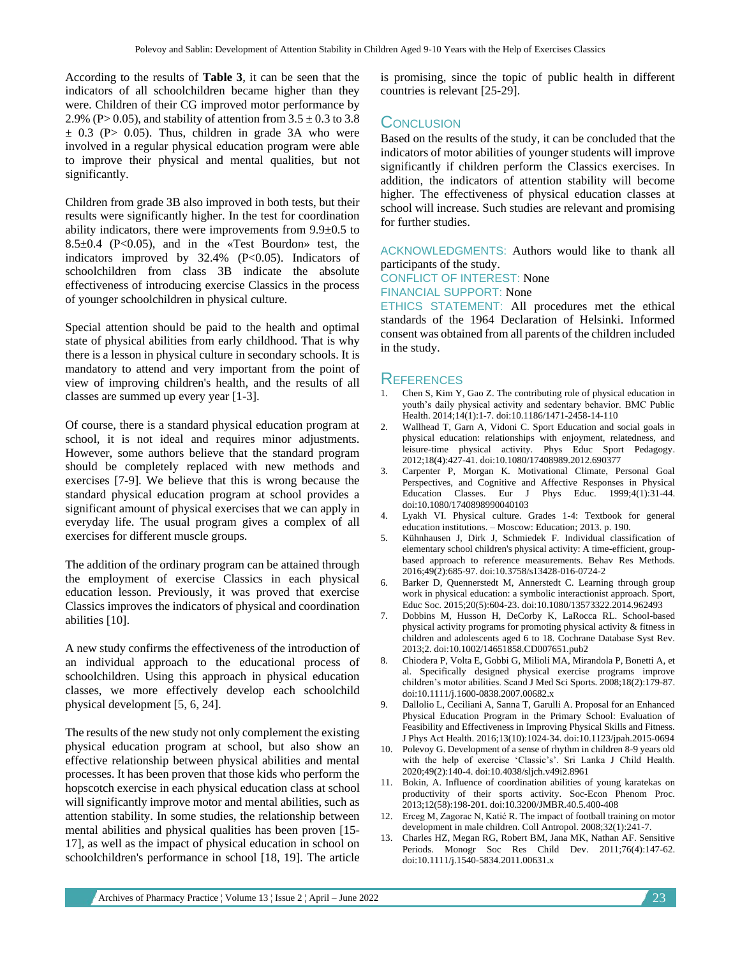According to the results of **Table 3**, it can be seen that the indicators of all schoolchildren became higher than they were. Children of their CG improved motor performance by 2.9% (P> 0.05), and stability of attention from  $3.5 \pm 0.3$  to 3.8  $\pm$  0.3 (P > 0.05). Thus, children in grade 3A who were involved in a regular physical education program were able to improve their physical and mental qualities, but not significantly.

Children from grade 3B also improved in both tests, but their results were significantly higher. In the test for coordination ability indicators, there were improvements from 9.9±0.5 to  $8.5\pm0.4$  (P<0.05), and in the «Test Bourdon» test, the indicators improved by  $32.4\%$  (P<0.05). Indicators of schoolchildren from class 3B indicate the absolute effectiveness of introducing exercise Classics in the process of younger schoolchildren in physical culture.

Special attention should be paid to the health and optimal state of physical abilities from early childhood. That is why there is a lesson in physical culture in secondary schools. It is mandatory to attend and very important from the point of view of improving children's health, and the results of all classes are summed up every year [1-3].

Of course, there is a standard physical education program at school, it is not ideal and requires minor adjustments. However, some authors believe that the standard program should be completely replaced with new methods and exercises [7-9]. We believe that this is wrong because the standard physical education program at school provides a significant amount of physical exercises that we can apply in everyday life. The usual program gives a complex of all exercises for different muscle groups.

The addition of the ordinary program can be attained through the employment of exercise Classics in each physical education lesson. Previously, it was proved that exercise Classics improves the indicators of physical and coordination abilities [10].

A new study confirms the effectiveness of the introduction of an individual approach to the educational process of schoolchildren. Using this approach in physical education classes, we more effectively develop each schoolchild physical development [5, 6, 24].

The results of the new study not only complement the existing physical education program at school, but also show an effective relationship between physical abilities and mental processes. It has been proven that those kids who perform the hopscotch exercise in each physical education class at school will significantly improve motor and mental abilities, such as attention stability. In some studies, the relationship between mental abilities and physical qualities has been proven [15- 17], as well as the impact of physical education in school on schoolchildren's performance in school [18, 19]. The article is promising, since the topic of public health in different countries is relevant [25-29].

## **CONCLUSION**

Based on the results of the study, it can be concluded that the indicators of motor abilities of younger students will improve significantly if children perform the Classics exercises. In addition, the indicators of attention stability will become higher. The effectiveness of physical education classes at school will increase. Such studies are relevant and promising for further studies.

ACKNOWLEDGMENTS: Authors would like to thank all participants of the study.

CONFLICT OF INTEREST: None

FINANCIAL SUPPORT: None

ETHICS STATEMENT: All procedures met the ethical standards of the 1964 Declaration of Helsinki. Informed consent was obtained from all parents of the children included in the study.

#### **REFERENCES**

- 1. Chen S, Kim Y, Gao Z. The contributing role of physical education in youth's daily physical activity and sedentary behavior. BMC Public Health. 2014;14(1):1-7. doi:10.1186/1471-2458-14-110
- 2. Wallhead T, Garn A, Vidoni C. Sport Education and social goals in physical education: relationships with enjoyment, relatedness, and leisure-time physical activity. Phys Educ Sport Pedagogy. 2012;18(4):427-41. doi:10.1080/17408989.2012.690377
- 3. Carpenter P, Morgan K. Motivational Climate, Personal Goal Perspectives, and Cognitive and Affective Responses in Physical Education Classes. Eur J Phys Educ. 1999;4(1):31-44. doi:10.1080/1740898990040103
- 4. Lyakh VI. Physical culture. Grades 1-4: Textbook for general education institutions. – Moscow: Education; 2013. p. 190.
- 5. Kühnhausen J, Dirk J, Schmiedek F. Individual classification of elementary school children's physical activity: A time-efficient, groupbased approach to reference measurements. Behav Res Methods. 2016;49(2):685-97. doi:10.3758/s13428-016-0724-2
- 6. Barker D, Quennerstedt M, Annerstedt C. Learning through group work in physical education: a symbolic interactionist approach. Sport, Educ Soc. 2015;20(5):604-23. doi:10.1080/13573322.2014.962493
- 7. Dobbins M, Husson H, DeCorby K, LaRocca RL. School-based physical activity programs for promoting physical activity & fitness in children and adolescents aged 6 to 18. Cochrane Database Syst Rev. 2013;2. doi:10.1002/14651858.CD007651.pub2
- 8. Chiodera P, Volta E, Gobbi G, Milioli MA, Mirandola P, Bonetti A, et al. Specifically designed physical exercise programs improve children's motor abilities. Scand J Med Sci Sports. 2008;18(2):179-87. doi:10.1111/j.1600-0838.2007.00682.x
- 9. Dallolio L, Ceciliani A, Sanna T, Garulli A. Proposal for an Enhanced Physical Education Program in the Primary School: Evaluation of Feasibility and Effectiveness in Improving Physical Skills and Fitness. J Phys Act Health. 2016;13(10):1024-34. doi:10.1123/jpah.2015-0694
- 10. Polevoy G. Development of a sense of rhythm in children 8-9 years old with the help of exercise 'Classic's'. Sri Lanka J Child Health. 2020;49(2):140-4. doi:10.4038/sljch.v49i2.8961
- 11. Bokin, A. Influence of coordination abilities of young karatekas on productivity of their sports activity. Soc-Econ Phenom Proc. 2013;12(58):198-201. doi:10.3200/JMBR.40.5.400-408
- 12. Erceg M, Zagorac N, Katić R. The impact of football training on motor development in male children. Coll Antropol. 2008;32(1):241-7.
- 13. Charles HZ, Megan RG, Robert BM, Jana MK, Nathan AF. Sensitive Periods. Monogr Soc Res Child Dev. 2011;76(4):147-62. doi:10.1111/j.1540-5834.2011.00631.x